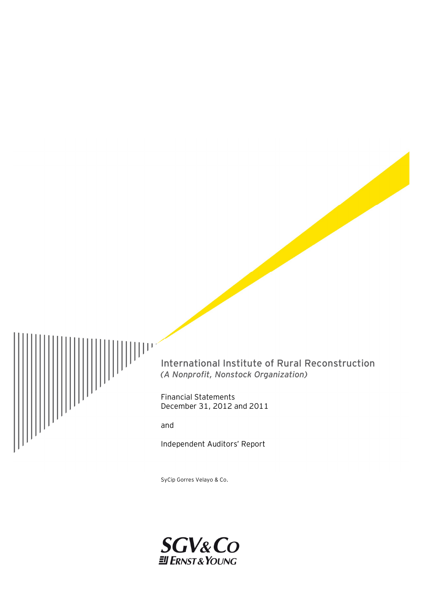

International Institute of Rural Reconstruction *(A Nonprofit, Nonstock Organization)* 

Financial Statements December 31, 2012 and 2011

and

Independent Auditors' Report

SyCip Gorres Velayo & Co.

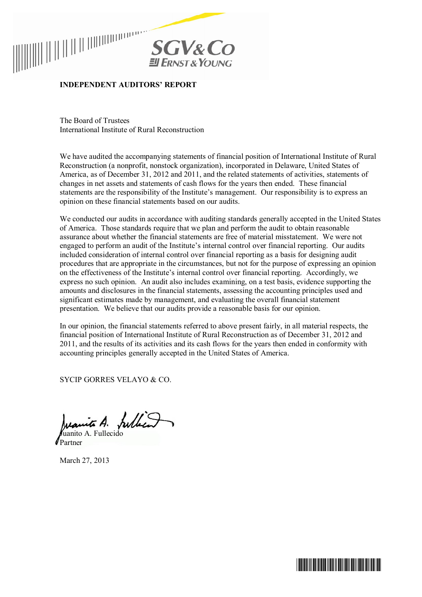



# **INDEPENDENT AUDITORS' REPORT**

The Board of Trustees International Institute of Rural Reconstruction

We have audited the accompanying statements of financial position of International Institute of Rural Reconstruction (a nonprofit, nonstock organization), incorporated in Delaware, United States of America, as of December 31, 2012 and 2011, and the related statements of activities, statements of changes in net assets and statements of cash flows for the years then ended. These financial statements are the responsibility of the Institute's management. Our responsibility is to express an opinion on these financial statements based on our audits.

We conducted our audits in accordance with auditing standards generally accepted in the United States of America. Those standards require that we plan and perform the audit to obtain reasonable assurance about whether the financial statements are free of material misstatement. We were not engaged to perform an audit of the Institute's internal control over financial reporting. Our audits included consideration of internal control over financial reporting as a basis for designing audit procedures that are appropriate in the circumstances, but not for the purpose of expressing an opinion on the effectiveness of the Institute's internal control over financial reporting. Accordingly, we express no such opinion. An audit also includes examining, on a test basis, evidence supporting the amounts and disclosures in the financial statements, assessing the accounting principles used and significant estimates made by management, and evaluating the overall financial statement presentation. We believe that our audits provide a reasonable basis for our opinion.

In our opinion, the financial statements referred to above present fairly, in all material respects, the financial position of International Institute of Rural Reconstruction as of December 31, 2012 and 2011, and the results of its activities and its cash flows for the years then ended in conformity with accounting principles generally accepted in the United States of America.

SYCIP GORRES VELAYO & CO.

Juanite A. fulled uanito A. Fullecido

Partner

March 27, 2013

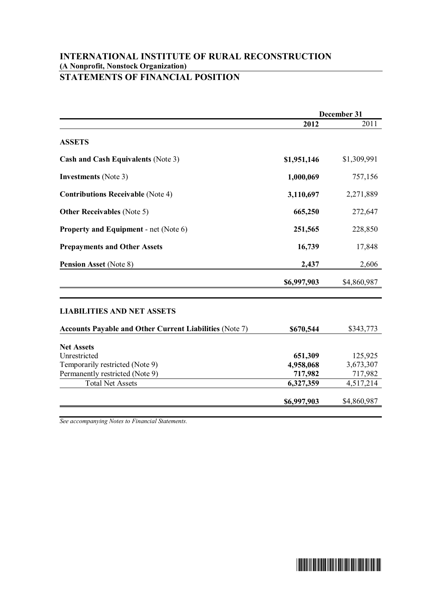# **INTERNATIONAL INSTITUTE OF RURAL RECONSTRUCTION (A Nonprofit, Nonstock Organization) STATEMENTS OF FINANCIAL POSITION**

|                                                                | December 31 |             |
|----------------------------------------------------------------|-------------|-------------|
|                                                                | 2012        | 2011        |
| <b>ASSETS</b>                                                  |             |             |
| Cash and Cash Equivalents (Note 3)                             | \$1,951,146 | \$1,309,991 |
| <b>Investments</b> (Note 3)                                    | 1,000,069   | 757,156     |
| <b>Contributions Receivable (Note 4)</b>                       | 3,110,697   | 2,271,889   |
| <b>Other Receivables</b> (Note 5)                              | 665,250     | 272,647     |
| <b>Property and Equipment - net (Note 6)</b>                   | 251,565     | 228,850     |
| <b>Prepayments and Other Assets</b>                            | 16,739      | 17,848      |
| Pension Asset (Note 8)                                         | 2,437       | 2,606       |
|                                                                | \$6,997,903 | \$4,860,987 |
| <b>LIABILITIES AND NET ASSETS</b>                              |             |             |
| <b>Accounts Payable and Other Current Liabilities (Note 7)</b> | \$670,544   | \$343,773   |
| <b>Net Assets</b>                                              |             |             |
| Unrestricted                                                   | 651,309     | 125,925     |
| Temporarily restricted (Note 9)                                | 4,958,068   | 3,673,307   |
| Permanently restricted (Note 9)                                | 717,982     | 717,982     |
| <b>Total Net Assets</b>                                        | 6,327,359   | 4,517,214   |
|                                                                | \$6,997,903 | \$4,860,987 |

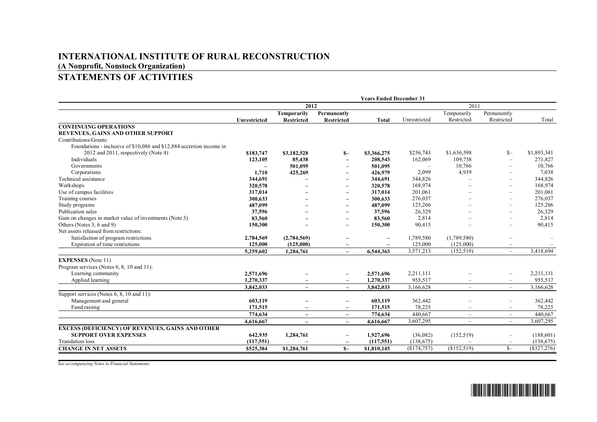# **STATEMENTS OF ACTIVITIES**

|                                                                      | <b>Years Ended December 31</b> |                          |                          |                          |              |                          |                          |             |
|----------------------------------------------------------------------|--------------------------------|--------------------------|--------------------------|--------------------------|--------------|--------------------------|--------------------------|-------------|
|                                                                      |                                | 2012                     |                          |                          | 2011         |                          |                          |             |
|                                                                      |                                | <b>Temporarily</b>       | Permanently              |                          |              | Temporarily              | Permanently              |             |
|                                                                      | Unrestricted                   | <b>Restricted</b>        | <b>Restricted</b>        | Total                    | Unrestricted | Restricted               | Restricted               | Total       |
| <b>CONTINUING OPERATIONS</b>                                         |                                |                          |                          |                          |              |                          |                          |             |
| REVENUES, GAINS AND OTHER SUPPORT                                    |                                |                          |                          |                          |              |                          |                          |             |
| Contributions/Grants:                                                |                                |                          |                          |                          |              |                          |                          |             |
| Foundations - inclusive of \$10,086 and \$12,884 accretion income in |                                |                          |                          |                          |              |                          |                          |             |
| 2012 and 2011, respectively (Note 4)                                 | \$183,747                      | \$3,182,528              | $S-$                     | \$3,366,275              | \$256,743    | \$1,636,598              | $S-$                     | \$1,893,341 |
| Individuals                                                          | 123,105                        | 85,438                   | $\overline{\phantom{0}}$ | 208,543                  | 162,069      | 109,758                  |                          | 271,827     |
| Governments                                                          | $\overline{\phantom{0}}$       | 501,095                  | $\overline{\phantom{0}}$ | 501,095                  |              | 10,766                   |                          | 10,766      |
| Corporations                                                         | 1,710                          | 425,269                  | $\overline{\phantom{0}}$ | 426,979                  | 2,099        | 4,939                    |                          | 7,038       |
| Technical assistance                                                 | 344,691                        | ۰                        | $\overline{\phantom{0}}$ | 344,691                  | 344,826      | $\equiv$                 |                          | 344,826     |
| Workshops                                                            | 320,578                        | $\overline{\phantom{0}}$ | $\overline{\phantom{0}}$ | 320,578                  | 168,974      |                          | $\overline{\phantom{0}}$ | 168,974     |
| Use of campus facilities                                             | 317,014                        | $\overline{\phantom{0}}$ | $\overline{\phantom{0}}$ | 317,014                  | 201,061      |                          | $\overline{\phantom{0}}$ | 201,061     |
| Training courses                                                     | 300,633                        |                          | $\overline{\phantom{0}}$ | 300,633                  | 276,037      |                          | $\overline{\phantom{0}}$ | 276,037     |
| Study programs                                                       | 487,099                        |                          | $\overline{\phantom{0}}$ | 487,099                  | 125,266      |                          | $\overline{\phantom{0}}$ | 125,266     |
| Publication sales                                                    | 37,596                         |                          | $\overline{\phantom{0}}$ | 37,596                   | 26,329       |                          | $\overline{\phantom{0}}$ | 26,329      |
| Gain on changes in market value of investments (Note 3)              | 83,560                         |                          | $\overline{\phantom{0}}$ | 83,560                   | 2,814        |                          | $\overline{\phantom{0}}$ | 2,814       |
| Others (Notes 3, 6 and 9)                                            | 150,300                        |                          | $\overline{\phantom{0}}$ | 150,300                  | 90,415       |                          | $\overline{\phantom{0}}$ | 90,415      |
| Net assets released from restrictions:                               |                                |                          |                          |                          |              |                          |                          |             |
| Satisfaction of program restrictions                                 | 2,784,569                      | (2,784,569)              | $\overline{\phantom{0}}$ | $\overline{\phantom{a}}$ | 1,789,580    | (1,789,580)              |                          |             |
| Expiration of time restrictions                                      | 125,000                        | (125,000)                | -                        |                          | 125,000      | (125,000)                |                          |             |
|                                                                      | 5,259,602                      | 1,284,761                | $\overline{\phantom{0}}$ | 6,544,363                | 3,571,213    | (152, 519)               | $\overline{\phantom{a}}$ | 3,418,694   |
| <b>EXPENSES</b> (Note 11)                                            |                                |                          |                          |                          |              |                          |                          |             |
| Program services (Notes 6, 8, 10 and 11):                            |                                |                          |                          |                          |              |                          |                          |             |
| Learning community                                                   | 2,571,696                      |                          | $\overline{\phantom{0}}$ | 2,571,696                | 2,211,111    |                          | $\overline{\phantom{0}}$ | 2,211,111   |
| Applied learning                                                     | 1.270.337                      | $\overline{\phantom{0}}$ | $\overline{\phantom{0}}$ | 1,270,337                | 955,517      | $\overline{\phantom{0}}$ | $\overline{\phantom{m}}$ | 955,517     |
|                                                                      | 3.842.033                      | $\equiv$                 | $\equiv$                 | 3,842,033                | 3,166,628    | $\overline{\phantom{0}}$ | $\overline{\phantom{a}}$ | 3,166,628   |
| Support services (Notes 6, 8, 10 and 11):                            |                                |                          |                          |                          |              |                          |                          |             |
| Management and general                                               | 603,119                        |                          | $\overline{\phantom{0}}$ | 603,119                  | 362,442      |                          | $-$                      | 362,442     |
| Fund raising                                                         | 171,515                        | $\qquad \qquad -$        | $\qquad \qquad -$        | 171,515                  | 78,225       | $\qquad \qquad$          | $\overline{\phantom{m}}$ | 78,225      |
|                                                                      | 774,634                        | $\overline{\phantom{m}}$ | $\overline{\phantom{0}}$ | 774,634                  | 440,667      | $\overline{\phantom{0}}$ | $\overline{\phantom{a}}$ | 440,667     |
|                                                                      | 4,616,667                      | $\equiv$                 | $\overline{\phantom{0}}$ | 4,616,667                | 3,607,295    | $-$                      | $\equiv$                 | 3,607,295   |
| <b>EXCESS (DEFICIENCY) OF REVENUES, GAINS AND OTHER</b>              |                                |                          |                          |                          |              |                          |                          |             |
| <b>SUPPORT OVER EXPENSES</b>                                         | 642,935                        | 1,284,761                | $\overline{\phantom{0}}$ | 1,927,696                | (36,082)     | (152, 519)               | $\overline{\phantom{0}}$ | (188,601)   |
| <b>Translation loss</b>                                              | (117,551)                      |                          | $\overline{\phantom{0}}$ | (117.551)                | (138,675)    |                          |                          | (138, 675)  |
| <b>CHANGE IN NET ASSETS</b>                                          | \$525,384                      | \$1,284,761              | $S-$                     | \$1,810,145              | (\$174,757)  | (\$152,519)              | $S-$                     | (\$327,276) |
|                                                                      |                                |                          |                          |                          |              |                          |                          |             |

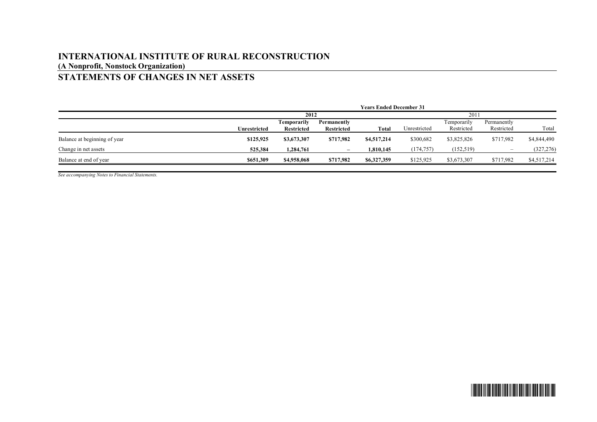# **STATEMENTS OF CHANGES IN NET ASSETS**

|                              |              | <b>Years Ended December 31</b> |                          |             |              |             |             |             |
|------------------------------|--------------|--------------------------------|--------------------------|-------------|--------------|-------------|-------------|-------------|
|                              |              | 2012                           |                          |             | 2011         |             |             |             |
|                              |              | Temporarily                    | Permanently              |             |              | Temporarily | Permanently |             |
|                              | Unrestricted | <b>Restricted</b>              | <b>Restricted</b>        | Total       | Unrestricted | Restricted  | Restricted  | Total       |
| Balance at beginning of year | \$125,925    | \$3,673,307                    | \$717,982                | \$4,517,214 | \$300,682    | \$3,825,826 | \$717,982   | \$4,844,490 |
| Change in net assets         | 525,384      | 1,284,761                      | $\overline{\phantom{0}}$ | 1,810,145   | (174, 757)   | (152, 519)  | -           | (327, 276)  |
| Balance at end of year       | \$651,309    | \$4,958,068                    | \$717,982                | \$6,327,359 | \$125,925    | \$3,673,307 | \$717,982   | \$4,517,214 |
|                              |              |                                |                          |             |              |             |             |             |

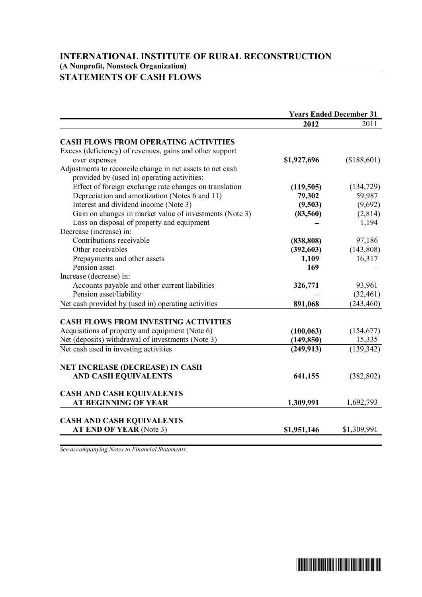# **STATEMENTS OF CASH FLOWS**

|                                                           | <b>Years Ended December 31</b> |             |
|-----------------------------------------------------------|--------------------------------|-------------|
|                                                           | 2012                           | 2011        |
| <b>CASH FLOWS FROM OPERATING ACTIVITIES</b>               |                                |             |
| Excess (deficiency) of revenues, gains and other support  |                                |             |
| over expenses                                             | \$1,927,696                    | (\$188,601) |
| Adjustments to reconcile change in net assets to net cash |                                |             |
| provided by (used in) operating activities:               |                                |             |
| Effect of foreign exchange rate changes on translation    | (119, 505)                     | (134, 729)  |
| Depreciation and amortization (Notes 6 and 11)            | 79,302                         | 59,987      |
| Interest and dividend income (Note 3)                     | (9,503)                        | (9,692)     |
| Gain on changes in market value of investments (Note 3)   | (83, 560)                      | (2,814)     |
| Loss on disposal of property and equipment                |                                | 1,194       |
| Decrease (increase) in:                                   |                                |             |
| Contributions receivable                                  | (838, 808)                     | 97,186      |
| Other receivables                                         | (392, 603)                     | (143, 808)  |
| Prepayments and other assets                              | 1,109                          | 16,317      |
| Pension asset                                             | 169                            |             |
| Increase (decrease) in:                                   |                                |             |
| Accounts payable and other current liabilities            | 326,771                        | 93,961      |
| Pension asset/liability                                   |                                | (32, 461)   |
| Net cash provided by (used in) operating activities       | 891,068                        | (243, 460)  |
|                                                           |                                |             |
| <b>CASH FLOWS FROM INVESTING ACTIVITIES</b>               |                                |             |
| Acquisitions of property and equipment (Note 6)           | (100, 063)                     | (154, 677)  |
| Net (deposits) withdrawal of investments (Note 3)         | (149, 850)                     | 15,335      |
| Net cash used in investing activities                     | (249, 913)                     | (139, 342)  |
|                                                           |                                |             |
| <b>NET INCREASE (DECREASE) IN CASH</b>                    |                                |             |
| <b>AND CASH EQUIVALENTS</b>                               | 641,155                        | (382, 802)  |
| <b>CASH AND CASH EQUIVALENTS</b>                          |                                |             |
| <b>AT BEGINNING OF YEAR</b>                               | 1,309,991                      | 1,692,793   |
|                                                           |                                |             |
| <b>CASH AND CASH EQUIVALENTS</b>                          |                                |             |
| AT END OF YEAR (Note 3)                                   | \$1,951,146                    | \$1,309,991 |

\*SGVFS000794\*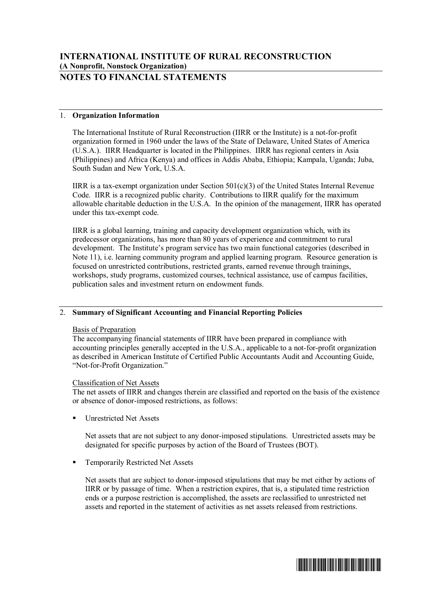# **NOTES TO FINANCIAL STATEMENTS**

# 1. **Organization Information**

The International Institute of Rural Reconstruction (IIRR or the Institute) is a not-for-profit organization formed in 1960 under the laws of the State of Delaware, United States of America (U.S.A.). IIRR Headquarter is located in the Philippines. IIRR has regional centers in Asia (Philippines) and Africa (Kenya) and offices in Addis Ababa, Ethiopia; Kampala, Uganda; Juba, South Sudan and New York, U.S.A.

IIRR is a tax-exempt organization under Section  $501(c)(3)$  of the United States Internal Revenue Code. IIRR is a recognized public charity. Contributions to IIRR qualify for the maximum allowable charitable deduction in the U.S.A. In the opinion of the management, IIRR has operated under this tax-exempt code.

IIRR is a global learning, training and capacity development organization which, with its predecessor organizations, has more than 80 years of experience and commitment to rural development. The Institute's program service has two main functional categories (described in Note 11), i.e. learning community program and applied learning program. Resource generation is focused on unrestricted contributions, restricted grants, earned revenue through trainings, workshops, study programs, customized courses, technical assistance, use of campus facilities, publication sales and investment return on endowment funds.

# 2. **Summary of Significant Accounting and Financial Reporting Policies**

# Basis of Preparation

The accompanying financial statements of IIRR have been prepared in compliance with accounting principles generally accepted in the U.S.A., applicable to a not-for-profit organization as described in American Institute of Certified Public Accountants Audit and Accounting Guide, "Not-for-Profit Organization."

# Classification of Net Assets

The net assets of IIRR and changes therein are classified and reported on the basis of the existence or absence of donor-imposed restrictions, as follows:

ß Unrestricted Net Assets

Net assets that are not subject to any donor-imposed stipulations. Unrestricted assets may be designated for specific purposes by action of the Board of Trustees (BOT).

ß Temporarily Restricted Net Assets

Net assets that are subject to donor-imposed stipulations that may be met either by actions of IIRR or by passage of time. When a restriction expires, that is, a stipulated time restriction ends or a purpose restriction is accomplished, the assets are reclassified to unrestricted net assets and reported in the statement of activities as net assets released from restrictions.

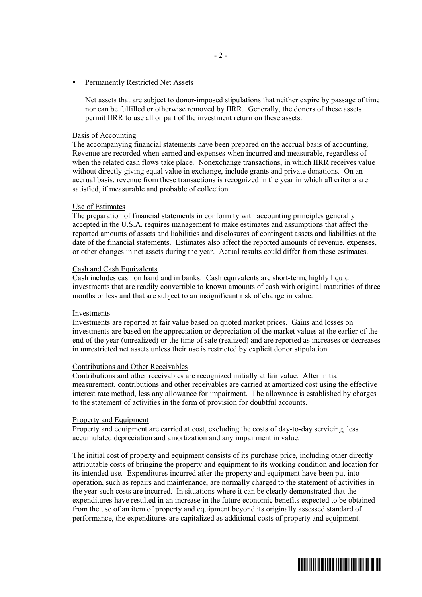ß Permanently Restricted Net Assets

Net assets that are subject to donor-imposed stipulations that neither expire by passage of time nor can be fulfilled or otherwise removed by IIRR. Generally, the donors of these assets permit IIRR to use all or part of the investment return on these assets.

#### Basis of Accounting

The accompanying financial statements have been prepared on the accrual basis of accounting. Revenue are recorded when earned and expenses when incurred and measurable, regardless of when the related cash flows take place. Nonexchange transactions, in which IIRR receives value without directly giving equal value in exchange, include grants and private donations. On an accrual basis, revenue from these transactions is recognized in the year in which all criteria are satisfied, if measurable and probable of collection.

#### Use of Estimates

The preparation of financial statements in conformity with accounting principles generally accepted in the U.S.A. requires management to make estimates and assumptions that affect the reported amounts of assets and liabilities and disclosures of contingent assets and liabilities at the date of the financial statements. Estimates also affect the reported amounts of revenue, expenses, or other changes in net assets during the year. Actual results could differ from these estimates.

#### Cash and Cash Equivalents

Cash includes cash on hand and in banks. Cash equivalents are short-term, highly liquid investments that are readily convertible to known amounts of cash with original maturities of three months or less and that are subject to an insignificant risk of change in value.

#### Investments

Investments are reported at fair value based on quoted market prices. Gains and losses on investments are based on the appreciation or depreciation of the market values at the earlier of the end of the year (unrealized) or the time of sale (realized) and are reported as increases or decreases in unrestricted net assets unless their use is restricted by explicit donor stipulation.

### Contributions and Other Receivables

Contributions and other receivables are recognized initially at fair value. After initial measurement, contributions and other receivables are carried at amortized cost using the effective interest rate method, less any allowance for impairment. The allowance is established by charges to the statement of activities in the form of provision for doubtful accounts.

#### Property and Equipment

Property and equipment are carried at cost, excluding the costs of day-to-day servicing, less accumulated depreciation and amortization and any impairment in value.

The initial cost of property and equipment consists of its purchase price, including other directly attributable costs of bringing the property and equipment to its working condition and location for its intended use. Expenditures incurred after the property and equipment have been put into operation, such as repairs and maintenance, are normally charged to the statement of activities in the year such costs are incurred. In situations where it can be clearly demonstrated that the expenditures have resulted in an increase in the future economic benefits expected to be obtained from the use of an item of property and equipment beyond its originally assessed standard of performance, the expenditures are capitalized as additional costs of property and equipment.

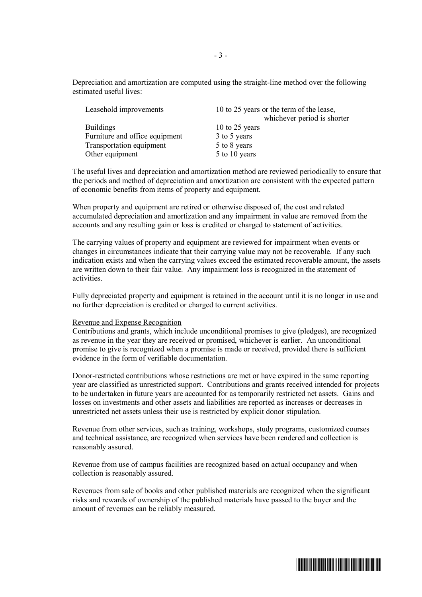Depreciation and amortization are computed using the straight-line method over the following estimated useful lives:

| Leasehold improvements          | 10 to 25 years or the term of the lease,<br>whichever period is shorter |  |  |
|---------------------------------|-------------------------------------------------------------------------|--|--|
| <b>Buildings</b>                | 10 to 25 years                                                          |  |  |
| Furniture and office equipment  | 3 to 5 years                                                            |  |  |
| <b>Transportation equipment</b> | 5 to 8 years                                                            |  |  |
| Other equipment                 | 5 to 10 years                                                           |  |  |
|                                 |                                                                         |  |  |

The useful lives and depreciation and amortization method are reviewed periodically to ensure that the periods and method of depreciation and amortization are consistent with the expected pattern of economic benefits from items of property and equipment.

When property and equipment are retired or otherwise disposed of, the cost and related accumulated depreciation and amortization and any impairment in value are removed from the accounts and any resulting gain or loss is credited or charged to statement of activities.

The carrying values of property and equipment are reviewed for impairment when events or changes in circumstances indicate that their carrying value may not be recoverable. If any such indication exists and when the carrying values exceed the estimated recoverable amount, the assets are written down to their fair value. Any impairment loss is recognized in the statement of activities.

Fully depreciated property and equipment is retained in the account until it is no longer in use and no further depreciation is credited or charged to current activities.

### Revenue and Expense Recognition

Contributions and grants, which include unconditional promises to give (pledges), are recognized as revenue in the year they are received or promised, whichever is earlier. An unconditional promise to give is recognized when a promise is made or received, provided there is sufficient evidence in the form of verifiable documentation.

Donor-restricted contributions whose restrictions are met or have expired in the same reporting year are classified as unrestricted support. Contributions and grants received intended for projects to be undertaken in future years are accounted for as temporarily restricted net assets. Gains and losses on investments and other assets and liabilities are reported as increases or decreases in unrestricted net assets unless their use is restricted by explicit donor stipulation.

Revenue from other services, such as training, workshops, study programs, customized courses and technical assistance, are recognized when services have been rendered and collection is reasonably assured.

Revenue from use of campus facilities are recognized based on actual occupancy and when collection is reasonably assured.

Revenues from sale of books and other published materials are recognized when the significant risks and rewards of ownership of the published materials have passed to the buyer and the amount of revenues can be reliably measured.

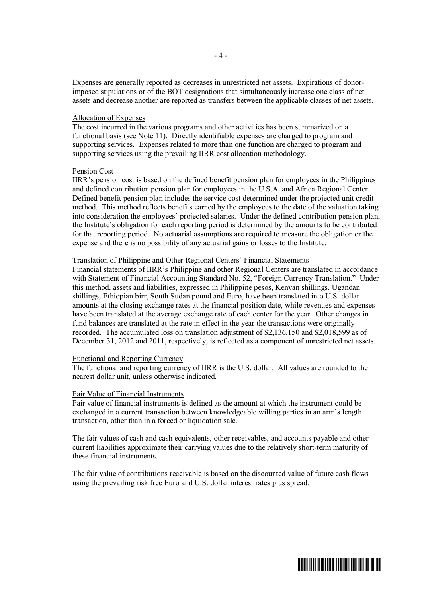Expenses are generally reported as decreases in unrestricted net assets. Expirations of donorimposed stipulations or of the BOT designations that simultaneously increase one class of net assets and decrease another are reported as transfers between the applicable classes of net assets.

#### Allocation of Expenses

The cost incurred in the various programs and other activities has been summarized on a functional basis (see Note 11). Directly identifiable expenses are charged to program and supporting services. Expenses related to more than one function are charged to program and supporting services using the prevailing IIRR cost allocation methodology.

# Pension Cost

IIRR's pension cost is based on the defined benefit pension plan for employees in the Philippines and defined contribution pension plan for employees in the U.S.A. and Africa Regional Center. Defined benefit pension plan includes the service cost determined under the projected unit credit method. This method reflects benefits earned by the employees to the date of the valuation taking into consideration the employees' projected salaries. Under the defined contribution pension plan, the Institute's obligation for each reporting period is determined by the amounts to be contributed for that reporting period. No actuarial assumptions are required to measure the obligation or the expense and there is no possibility of any actuarial gains or losses to the Institute.

#### Translation of Philippine and Other Regional Centers' Financial Statements

Financial statements of IIRR's Philippine and other Regional Centers are translated in accordance with Statement of Financial Accounting Standard No. 52, "Foreign Currency Translation." Under this method, assets and liabilities, expressed in Philippine pesos, Kenyan shillings, Ugandan shillings, Ethiopian birr, South Sudan pound and Euro, have been translated into U.S. dollar amounts at the closing exchange rates at the financial position date, while revenues and expenses have been translated at the average exchange rate of each center for the year. Other changes in fund balances are translated at the rate in effect in the year the transactions were originally recorded. The accumulated loss on translation adjustment of \$2,136,150 and \$2,018,599 as of December 31, 2012 and 2011, respectively, is reflected as a component of unrestricted net assets.

#### Functional and Reporting Currency

The functional and reporting currency of IIRR is the U.S. dollar. All values are rounded to the nearest dollar unit, unless otherwise indicated.

#### Fair Value of Financial Instruments

Fair value of financial instruments is defined as the amount at which the instrument could be exchanged in a current transaction between knowledgeable willing parties in an arm's length transaction, other than in a forced or liquidation sale.

The fair values of cash and cash equivalents, other receivables, and accounts payable and other current liabilities approximate their carrying values due to the relatively short-term maturity of these financial instruments.

The fair value of contributions receivable is based on the discounted value of future cash flows using the prevailing risk free Euro and U.S. dollar interest rates plus spread.

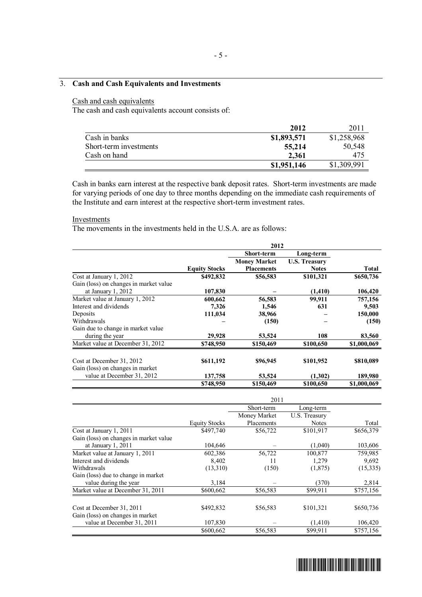# 3. **Cash and Cash Equivalents and Investments**

# Cash and cash equivalents

The cash and cash equivalents account consists of:

|                        | 2012        | 2011        |
|------------------------|-------------|-------------|
| Cash in banks          | \$1,893,571 | \$1,258,968 |
| Short-term investments | 55,214      | 50,548      |
| Cash on hand           | 2,361       | 475         |
|                        | \$1,951,146 | \$1,309,991 |

Cash in banks earn interest at the respective bank deposit rates. Short-term investments are made for varying periods of one day to three months depending on the immediate cash requirements of the Institute and earn interest at the respective short-term investment rates.

#### **Investments**

The movements in the investments held in the U.S.A. are as follows:

|                                        | 2012                 |                     |                      |              |  |
|----------------------------------------|----------------------|---------------------|----------------------|--------------|--|
|                                        |                      | <b>Short-term</b>   | Long-term            |              |  |
|                                        |                      | <b>Money Market</b> | <b>U.S. Treasury</b> |              |  |
|                                        | <b>Equity Stocks</b> | <b>Placements</b>   | <b>Notes</b>         | <b>Total</b> |  |
| Cost at January 1, 2012                | \$492,832            | \$56,583            | \$101,321            | \$650,736    |  |
| Gain (loss) on changes in market value |                      |                     |                      |              |  |
| at January 1, 2012                     | 107,830              |                     | (1,410)              | 106,420      |  |
| Market value at January 1, 2012        | 600,662              | 56,583              | 99,911               | 757,156      |  |
| Interest and dividends                 | 7,326                | 1,546               | 631                  | 9,503        |  |
| Deposits                               | 111,034              | 38,966              |                      | 150,000      |  |
| Withdrawals                            |                      | (150)               |                      | (150)        |  |
| Gain due to change in market value     |                      |                     |                      |              |  |
| during the year                        | 29,928               | 53,524              | 108                  | 83,560       |  |
| Market value at December 31, 2012      | \$748,950            | \$150,469           | \$100,650            | \$1,000,069  |  |
| Cost at December 31, 2012              | \$611,192            | \$96,945            | \$101,952            | \$810,089    |  |
| Gain (loss) on changes in market       |                      |                     |                      |              |  |
| value at December 31, 2012             | 137,758              | 53,524              | (1,302)              | 189,980      |  |
|                                        | \$748,950            | \$150,469           | \$100,650            | \$1,000,069  |  |

|                                        |                      | Short-term   | Long-term     |           |
|----------------------------------------|----------------------|--------------|---------------|-----------|
|                                        |                      | Money Market | U.S. Treasury |           |
|                                        | <b>Equity Stocks</b> | Placements   | <b>Notes</b>  | Total     |
| Cost at January 1, 2011                | \$497,740            | \$56,722     | \$101,917     | \$656,379 |
| Gain (loss) on changes in market value |                      |              |               |           |
| at January 1, 2011                     | 104,646              |              | (1,040)       | 103,606   |
| Market value at January 1, 2011        | 602,386              | 56,722       | 100,877       | 759,985   |
| Interest and dividends                 | 8,402                | 11           | 1,279         | 9,692     |
| Withdrawals                            | (13,310)             | (150)        | (1,875)       | (15,335)  |
| Gain (loss) due to change in market    |                      |              |               |           |
| value during the year                  | 3,184                |              | (370)         | 2,814     |
| Market value at December 31, 2011      | \$600,662            | \$56,583     | \$99,911      | \$757,156 |
|                                        |                      |              |               |           |
| Cost at December 31, 2011              | \$492,832            | \$56,583     | \$101,321     | \$650,736 |
| Gain (loss) on changes in market       |                      |              |               |           |
| value at December 31, 2011             | 107,830              |              | (1,410)       | 106,420   |
|                                        | \$600,662            | \$56,583     | \$99,911      | \$757,156 |

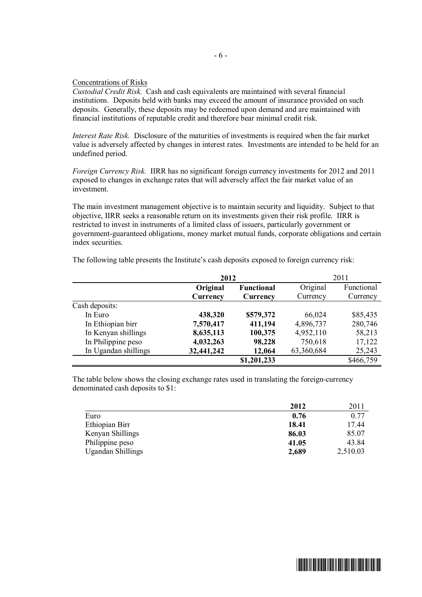## Concentrations of Risks

*Custodial Credit Risk.* Cash and cash equivalents are maintained with several financial institutions. Deposits held with banks may exceed the amount of insurance provided on such deposits. Generally, these deposits may be redeemed upon demand and are maintained with financial institutions of reputable credit and therefore bear minimal credit risk.

*Interest Rate Risk.* Disclosure of the maturities of investments is required when the fair market value is adversely affected by changes in interest rates. Investments are intended to be held for an undefined period.

*Foreign Currency Risk.* IIRR has no significant foreign currency investments for 2012 and 2011 exposed to changes in exchange rates that will adversely affect the fair market value of an investment.

The main investment management objective is to maintain security and liquidity. Subject to that objective, IIRR seeks a reasonable return on its investments given their risk profile. IIRR is restricted to invest in instruments of a limited class of issuers, particularly government or government-guaranteed obligations, money market mutual funds, corporate obligations and certain index securities.

|                      | 2012       |                   |            | 2011       |
|----------------------|------------|-------------------|------------|------------|
|                      | Original   | <b>Functional</b> | Original   | Functional |
|                      | Currency   | Currency          | Currency   | Currency   |
| Cash deposits:       |            |                   |            |            |
| In Euro              | 438,320    | \$579,372         | 66,024     | \$85,435   |
| In Ethiopian birr    | 7,570,417  | 411,194           | 4,896,737  | 280,746    |
| In Kenyan shillings  | 8,635,113  | 100,375           | 4,952,110  | 58,213     |
| In Philippine peso   | 4,032,263  | 98,228            | 750,618    | 17,122     |
| In Ugandan shillings | 32,441,242 | 12,064            | 63,360,684 | 25,243     |
|                      |            | \$1,201,233       |            | \$466,759  |

The following table presents the Institute's cash deposits exposed to foreign currency risk:

The table below shows the closing exchange rates used in translating the foreign-currency denominated cash deposits to \$1:

|                          | 2012  | 2011     |
|--------------------------|-------|----------|
| Euro                     | 0.76  | 0.77     |
| Ethiopian Birr           | 18.41 | 17.44    |
| Kenyan Shillings         | 86.03 | 85.07    |
| Philippine peso          | 41.05 | 43.84    |
| <b>Ugandan Shillings</b> | 2,689 | 2,510.03 |

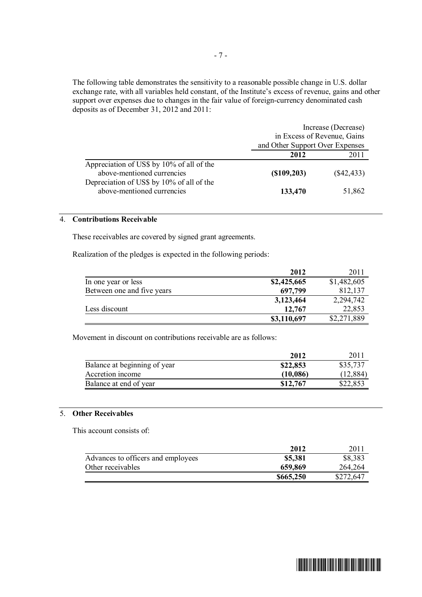The following table demonstrates the sensitivity to a reasonable possible change in U.S. dollar exchange rate, with all variables held constant, of the Institute's excess of revenue, gains and other support over expenses due to changes in the fair value of foreign-currency denominated cash deposits as of December 31, 2012 and 2011:

|                                                                         | Increase (Decrease)             |              |  |
|-------------------------------------------------------------------------|---------------------------------|--------------|--|
|                                                                         | in Excess of Revenue, Gains     |              |  |
|                                                                         | and Other Support Over Expenses |              |  |
|                                                                         | 2012                            | 2011         |  |
| Appreciation of US\$ by 10% of all of the<br>above-mentioned currencies | (S109, 203)                     | $(\$42,433)$ |  |
| Depreciation of US\$ by 10% of all of the<br>above-mentioned currencies | 133,470                         | 51,862       |  |

### 4. **Contributions Receivable**

These receivables are covered by signed grant agreements.

Realization of the pledges is expected in the following periods:

|                            | 2012        | 2011        |
|----------------------------|-------------|-------------|
| In one year or less        | \$2,425,665 | \$1,482,605 |
| Between one and five years | 697,799     | 812,137     |
|                            | 3,123,464   | 2,294,742   |
| Less discount              | 12,767      | 22,853      |
|                            | \$3,110,697 | \$2,271,889 |

Movement in discount on contributions receivable are as follows:

|                              | 2012     | <b>2011</b> |
|------------------------------|----------|-------------|
| Balance at beginning of year | \$22,853 | \$35,737    |
| Accretion income             | (10,086) | (12, 884)   |
| Balance at end of year       | \$12,767 | \$22,853    |

# 5. **Other Receivables**

This account consists of:

|                                    | 2012      | <b>2011</b> |
|------------------------------------|-----------|-------------|
| Advances to officers and employees | \$5,381   | \$8,383     |
| Other receivables                  | 659,869   | 264,264     |
|                                    | \$665,250 | \$272,647   |

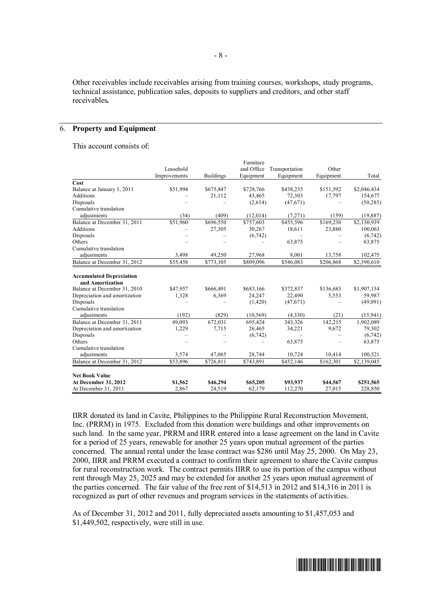Other receivables include receivables arising from training courses, workshops, study programs, technical assistance, publication sales, deposits to suppliers and creditors, and other staff receivables*.* 

# 6. **Property and Equipment**

This account consists of:

|                                 |                      |                  | Furniture  |                |           |             |
|---------------------------------|----------------------|------------------|------------|----------------|-----------|-------------|
|                                 | Leasehold            |                  | and Office | Transportation | Other     |             |
|                                 | Improvements         | <b>Buildings</b> | Equipment  | Equipment      | Equipment | Total       |
| Cost                            |                      |                  |            |                |           |             |
| Balance at January 1, 2011      | \$51,994             | \$675,847        | \$728,766  | \$438,235      | \$151,592 | \$2,046,434 |
| Additions                       |                      | 21,112           | 43,465     | 72,303         | 17,797    | 154,677     |
| Disposals                       |                      |                  | (2,614)    | (47,671)       |           | (50, 285)   |
| Cumulative translation          |                      |                  |            |                |           |             |
| adjustments                     | (34)                 | (409)            | (12,014)   | (7,271)        | (159)     | (19, 887)   |
| Balance at December 31, 2011    | \$51,960             | \$696,550        | \$757,603  | \$455,596      | \$169,230 | \$2,130,939 |
| Additions                       |                      | 27,305           | 30,267     | 18,611         | 23,880    | 100,063     |
| Disposals                       |                      |                  | (6,742)    |                |           | (6, 742)    |
| Others                          |                      |                  |            | 63,875         |           | 63,875      |
| Cumulative translation          |                      |                  |            |                |           |             |
| adjustments                     | 3,498                | 49,250           | 27,968     | 8,001          | 13,758    | 102,475     |
| Balance at December 31, 2012    | $\overline{$}55,458$ | \$773,105        | \$809,096  | \$546,083      | \$206,868 | \$2,390,610 |
|                                 |                      |                  |            |                |           |             |
| <b>Accumulated Depreciation</b> |                      |                  |            |                |           |             |
| and Amortization                |                      |                  |            |                |           |             |
| Balance at December 31, 2010    | \$47,957             | \$666,491        | \$683,166  | \$372,837      | \$136,683 | \$1,907,134 |
| Depreciation and amortization   | 1,328                | 6,369            | 24,247     | 22,490         | 5,553     | 59,987      |
| Disposals                       |                      |                  | (1,420)    | (47,671)       |           | (49,091)    |
| Cumulative translation          |                      |                  |            |                |           |             |
| adjustments                     | (192)                | (829)            | (10, 569)  | (4,330)        | (21)      | (15,941)    |
| Balance at December 31, 2011    | 49,093               | 672,031          | 695,424    | 343,326        | 142,215   | 1,902,089   |
| Depreciation and amortization   | 1,229                | 7.715            | 26,465     | 34,221         | 9,672     | 79,302      |
| Disposals                       |                      |                  | (6,742)    |                |           | (6,742)     |
| Others                          |                      |                  |            | 63,875         |           | 63,875      |
| Cumulative translation          |                      |                  |            |                |           |             |
| adjustments                     | 3,574                | 47,065           | 28,744     | 10,724         | 10,414    | 100,521     |
| Balance at December 31, 2012    | \$53,896             | \$726,811        | \$743,891  | \$452,146      | \$162,301 | \$2,139,045 |
|                                 |                      |                  |            |                |           |             |
| <b>Net Book Value</b>           |                      |                  |            |                |           |             |
| At December 31, 2012            | \$1,562              | \$46,294         | \$65,205   | \$93,937       | \$44,567  | \$251,565   |
| At December 31, 2011            | 2,867                | 24,519           | 62,179     | 112,270        | 27,015    | 228,850     |

IIRR donated its land in Cavite, Philippines to the Philippine Rural Reconstruction Movement, Inc. (PRRM) in 1975. Excluded from this donation were buildings and other improvements on such land. In the same year, PRRM and IIRR entered into a lease agreement on the land in Cavite for a period of 25 years, renewable for another 25 years upon mutual agreement of the parties concerned. The annual rental under the lease contract was \$286 until May 25, 2000. On May 23, 2000, IIRR and PRRM executed a contract to confirm their agreement to share the Cavite campus for rural reconstruction work. The contract permits IIRR to use its portion of the campus without rent through May 25, 2025 and may be extended for another 25 years upon mutual agreement of the parties concerned. The fair value of the free rent of \$14,513 in 2012 and \$14,316 in 2011 is recognized as part of other revenues and program services in the statements of activities.

As of December 31, 2012 and 2011, fully depreciated assets amounting to \$1,457,053 and \$1,449,502, respectively, were still in use.

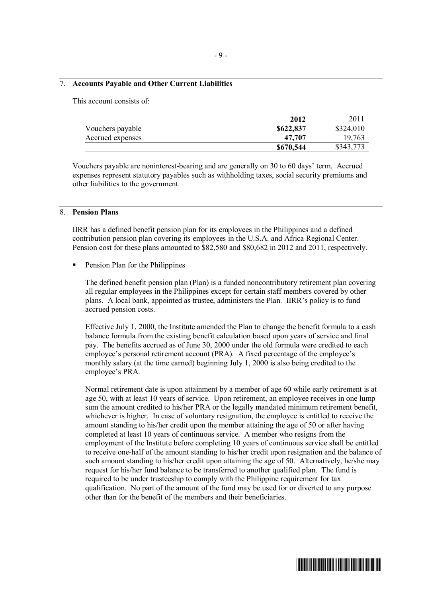# 7. **Accounts Payable and Other Current Liabilities**

This account consists of:

|                  | 2012      | 2011      |
|------------------|-----------|-----------|
| Vouchers payable | \$622,837 | \$324,010 |
| Accrued expenses | 47.707    | 19,763    |
|                  | \$670,544 | \$343,773 |

Vouchers payable are noninterest-bearing and are generally on 30 to 60 days' term. Accrued expenses represent statutory payables such as withholding taxes, social security premiums and other liabilities to the government.

### 8. **Pension Plans**

IIRR has a defined benefit pension plan for its employees in the Philippines and a defined contribution pension plan covering its employees in the U.S.A. and Africa Regional Center. Pension cost for these plans amounted to \$82,580 and \$80,682 in 2012 and 2011, respectively.

ß Pension Plan for the Philippines

The defined benefit pension plan (Plan) is a funded noncontributory retirement plan covering all regular employees in the Philippines except for certain staff members covered by other plans. A local bank, appointed as trustee, administers the Plan. IIRR's policy is to fund accrued pension costs.

Effective July 1, 2000, the Institute amended the Plan to change the benefit formula to a cash balance formula from the existing benefit calculation based upon years of service and final pay. The benefits accrued as of June 30, 2000 under the old formula were credited to each employee's personal retirement account (PRA). A fixed percentage of the employee's monthly salary (at the time earned) beginning July 1, 2000 is also being credited to the employee's PRA.

Normal retirement date is upon attainment by a member of age 60 while early retirement is at age 50, with at least 10 years of service. Upon retirement, an employee receives in one lump sum the amount credited to his/her PRA or the legally mandated minimum retirement benefit, whichever is higher. In case of voluntary resignation, the employee is entitled to receive the amount standing to his/her credit upon the member attaining the age of 50 or after having completed at least 10 years of continuous service. A member who resigns from the employment of the Institute before completing 10 years of continuous service shall be entitled to receive one-half of the amount standing to his/her credit upon resignation and the balance of such amount standing to his/her credit upon attaining the age of 50. Alternatively, he/she may request for his/her fund balance to be transferred to another qualified plan. The fund is required to be under trusteeship to comply with the Philippine requirement for tax qualification. No part of the amount of the fund may be used for or diverted to any purpose other than for the benefit of the members and their beneficiaries.

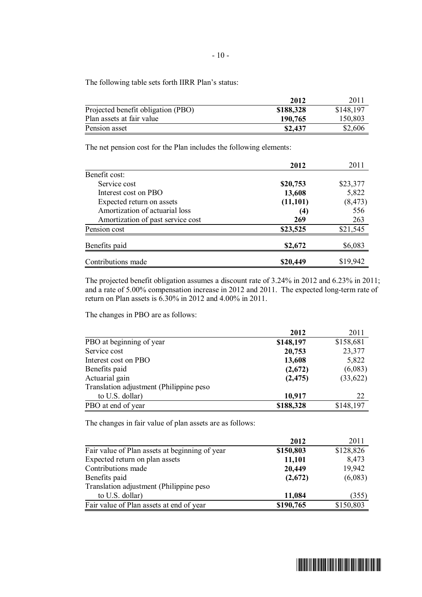The following table sets forth IIRR Plan's status:

|                                    | 2012      | 2011      |
|------------------------------------|-----------|-----------|
| Projected benefit obligation (PBO) | \$188,328 | \$148,197 |
| Plan assets at fair value          | 190,765   | 150,803   |
| Pension asset                      | \$2,437   | \$2,606   |

The net pension cost for the Plan includes the following elements:

|                                   | 2012      | 2011     |
|-----------------------------------|-----------|----------|
| Benefit cost:                     |           |          |
| Service cost                      | \$20,753  | \$23,377 |
| Interest cost on PBO              | 13,608    | 5,822    |
| Expected return on assets         | (11, 101) | (8, 473) |
| Amortization of actuarial loss    | (4)       | 556      |
| Amortization of past service cost | 269       | 263      |
| Pension cost                      | \$23,525  | \$21,545 |
| Benefits paid                     | \$2,672   | \$6,083  |
| Contributions made                | \$20,449  | \$19,942 |

The projected benefit obligation assumes a discount rate of 3.24% in 2012 and 6.23% in 2011; and a rate of 5.00% compensation increase in 2012 and 2011. The expected long-term rate of return on Plan assets is 6.30% in 2012 and 4.00% in 2011.

The changes in PBO are as follows:

|                                         | 2012      | 2011      |
|-----------------------------------------|-----------|-----------|
| PBO at beginning of year                | \$148,197 | \$158,681 |
| Service cost                            | 20,753    | 23,377    |
| Interest cost on PBO                    | 13,608    | 5,822     |
| Benefits paid                           | (2,672)   | (6,083)   |
| Actuarial gain                          | (2, 475)  | (33, 622) |
| Translation adjustment (Philippine peso |           |           |
| to U.S. dollar)                         | 10,917    | 22        |
| PBO at end of year                      | \$188,328 | \$148,197 |

The changes in fair value of plan assets are as follows:

|                                                | 2012      | 2011      |
|------------------------------------------------|-----------|-----------|
| Fair value of Plan assets at beginning of year | \$150,803 | \$128,826 |
| Expected return on plan assets                 | 11,101    | 8,473     |
| Contributions made                             | 20,449    | 19,942    |
| Benefits paid                                  | (2,672)   | (6,083)   |
| Translation adjustment (Philippine peso        |           |           |
| to U.S. dollar)                                | 11,084    | (355)     |
| Fair value of Plan assets at end of year       | \$190,765 | \$150,803 |

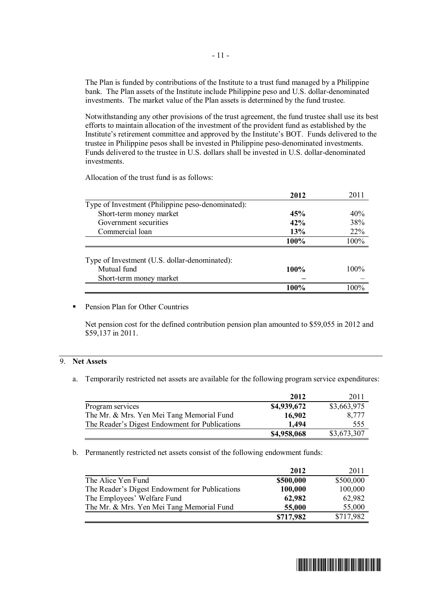The Plan is funded by contributions of the Institute to a trust fund managed by a Philippine bank. The Plan assets of the Institute include Philippine peso and U.S. dollar-denominated investments. The market value of the Plan assets is determined by the fund trustee.

Notwithstanding any other provisions of the trust agreement, the fund trustee shall use its best efforts to maintain allocation of the investment of the provident fund as established by the Institute's retirement committee and approved by the Institute's BOT. Funds delivered to the trustee in Philippine pesos shall be invested in Philippine peso-denominated investments. Funds delivered to the trustee in U.S. dollars shall be invested in U.S. dollar-denominated investments.

Allocation of the trust fund is as follows:

|                                                   | 2012 | 2011    |
|---------------------------------------------------|------|---------|
| Type of Investment (Philippine peso-denominated): |      |         |
| Short-term money market                           | 45%  | 40%     |
| Government securities                             | 42%  | 38%     |
| Commercial loan                                   | 13%  | 22%     |
|                                                   | 100% | 100%    |
| Type of Investment (U.S. dollar-denominated):     |      |         |
| Mutual fund                                       | 100% | $100\%$ |
|                                                   |      |         |
| Short-term money market                           |      |         |
|                                                   | 100% | $100\%$ |

# ß Pension Plan for Other Countries

Net pension cost for the defined contribution pension plan amounted to \$59,055 in 2012 and \$59,137 in 2011.

# 9. **Net Assets**

a. Temporarily restricted net assets are available for the following program service expenditures:

|                                                | 2012        | 2011        |
|------------------------------------------------|-------------|-------------|
| Program services                               | \$4,939,672 | \$3,663,975 |
| The Mr. & Mrs. Yen Mei Tang Memorial Fund      | 16,902      | 8.777       |
| The Reader's Digest Endowment for Publications | 1.494       | 555         |
|                                                | \$4,958,068 | \$3,673,307 |

b. Permanently restricted net assets consist of the following endowment funds:

|                                                | 2012      | 2011      |
|------------------------------------------------|-----------|-----------|
| The Alice Yen Fund                             | \$500,000 | \$500,000 |
| The Reader's Digest Endowment for Publications | 100,000   | 100,000   |
| The Employees' Welfare Fund                    | 62,982    | 62,982    |
| The Mr. & Mrs. Yen Mei Tang Memorial Fund      | 55,000    | 55,000    |
|                                                | \$717,982 | \$717,982 |

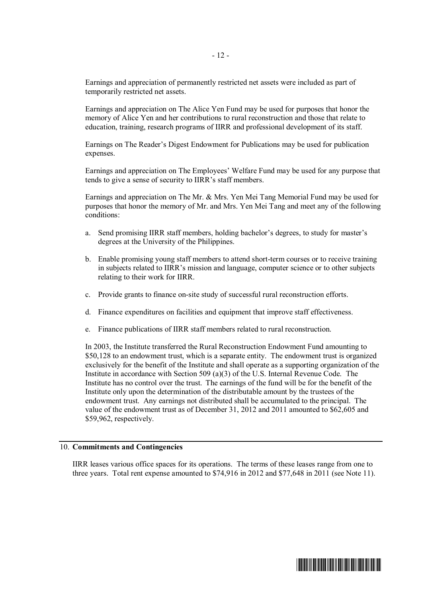Earnings and appreciation of permanently restricted net assets were included as part of temporarily restricted net assets.

Earnings and appreciation on The Alice Yen Fund may be used for purposes that honor the memory of Alice Yen and her contributions to rural reconstruction and those that relate to education, training, research programs of IIRR and professional development of its staff.

Earnings on The Reader's Digest Endowment for Publications may be used for publication expenses.

Earnings and appreciation on The Employees' Welfare Fund may be used for any purpose that tends to give a sense of security to IIRR's staff members.

Earnings and appreciation on The Mr. & Mrs. Yen Mei Tang Memorial Fund may be used for purposes that honor the memory of Mr. and Mrs. Yen Mei Tang and meet any of the following conditions:

- a. Send promising IIRR staff members, holding bachelor's degrees, to study for master's degrees at the University of the Philippines.
- b. Enable promising young staff members to attend short-term courses or to receive training in subjects related to IIRR's mission and language, computer science or to other subjects relating to their work for IIRR.
- c. Provide grants to finance on-site study of successful rural reconstruction efforts.
- d. Finance expenditures on facilities and equipment that improve staff effectiveness.
- e. Finance publications of IIRR staff members related to rural reconstruction.

In 2003, the Institute transferred the Rural Reconstruction Endowment Fund amounting to \$50,128 to an endowment trust, which is a separate entity. The endowment trust is organized exclusively for the benefit of the Institute and shall operate as a supporting organization of the Institute in accordance with Section 509 (a)(3) of the U.S. Internal Revenue Code. The Institute has no control over the trust.The earnings of the fund will be for the benefit of the Institute only upon the determination of the distributable amount by the trustees of the endowment trust. Any earnings not distributed shall be accumulated to the principal.The value of the endowment trust as of December 31, 2012 and 2011 amounted to \$62,605 and \$59,962, respectively.

### 10. **Commitments and Contingencies**

IIRR leases various office spaces for its operations. The terms of these leases range from one to three years. Total rent expense amounted to \$74,916 in 2012 and \$77,648 in 2011 (see Note 11).

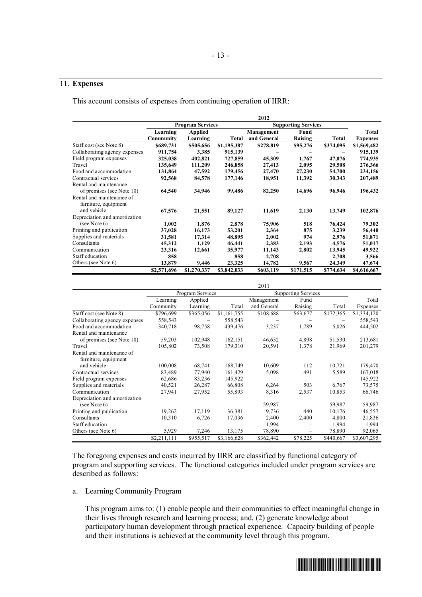# 11. **Expenses**

This account consists of expenses from continuing operation of IIRR:

|                               |             |                                                       |             | 2012        |           |              |                 |
|-------------------------------|-------------|-------------------------------------------------------|-------------|-------------|-----------|--------------|-----------------|
|                               |             | <b>Program Services</b><br><b>Supporting Services</b> |             |             |           |              |                 |
|                               | Learning    | Applied                                               |             | Management  | Fund      |              | Total           |
|                               | Community   | Learning                                              | Total       | and General | Raising   | <b>Total</b> | <b>Expenses</b> |
| Staff cost (see Note 8)       | \$689,731   | \$505,656                                             | \$1,195,387 | \$278,819   | \$95,276  | \$374,095    | \$1,569,482     |
| Collaborating agency expenses | 911,754     | 3,385                                                 | 915,139     |             |           |              | 915,139         |
| Field program expenses        | 325,038     | 402,821                                               | 727,859     | 45,309      | 1,767     | 47,076       | 774,935         |
| Travel                        | 135,649     | 111,209                                               | 246,858     | 27,413      | 2,095     | 29,508       | 276,366         |
| Food and accommodation        | 131,864     | 47,592                                                | 179,456     | 27,470      | 27,230    | 54,700       | 234,156         |
| Contractual services          | 92,568      | 84,578                                                | 177,146     | 18,951      | 11,392    | 30,343       | 207,489         |
| Rental and maintenance        |             |                                                       |             |             |           |              |                 |
| of premises (see Note 10)     | 64,540      | 34,946                                                | 99,486      | 82,250      | 14,696    | 96,946       | 196,432         |
| Rental and maintenance of     |             |                                                       |             |             |           |              |                 |
| furniture, equipment          |             |                                                       |             |             |           |              |                 |
| and vehicle                   | 67,576      | 21,551                                                | 89,127      | 11,619      | 2,130     | 13,749       | 102,876         |
| Depreciation and amortization |             |                                                       |             |             |           |              |                 |
| (see Note $6$ )               | 1,002       | 1,876                                                 | 2,878       | 75,906      | 518       | 76,424       | 79,302          |
| Printing and publication      | 37,028      | 16,173                                                | 53,201      | 2,364       | 875       | 3,239        | 56,440          |
| Supplies and materials        | 31,581      | 17,314                                                | 48,895      | 2,002       | 974       | 2,976        | 51,871          |
| Consultants                   | 45,312      | 1,129                                                 | 46,441      | 2,383       | 2,193     | 4,576        | 51,017          |
| Communication                 | 23,316      | 12,661                                                | 35,977      | 11,143      | 2,802     | 13,945       | 49,922          |
| Staff education               | 858         |                                                       | 858         | 2,708       |           | 2,708        | 3,566           |
| Others (see Note 6)           | 13,879      | 9,446                                                 | 23,325      | 14,782      | 9,567     | 24,349       | 47,674          |
|                               | \$2,571,696 | \$1,270,337                                           | \$3,842,033 | \$603,119   | \$171,515 | \$774,634    | \$4,616,667     |

|                               |                  |           |             | 2011                       |          |           |             |
|-------------------------------|------------------|-----------|-------------|----------------------------|----------|-----------|-------------|
|                               | Program Services |           |             | <b>Supporting Services</b> |          |           |             |
|                               | Learning         | Applied   |             | Management                 | Fund     |           | Total       |
|                               | Community        | Learning  | Total       | and General                | Raising  | Total     | Expenses    |
| Staff cost (see Note 8)       | \$796,699        | \$365,056 | \$1,161,755 | \$108,688                  | \$63,677 | \$172,365 | \$1,334,120 |
| Collaborating agency expenses | 558,543          |           | 558,543     |                            |          |           | 558,543     |
| Food and accommodation        | 340,718          | 98,758    | 439,476     | 3,237                      | 1,789    | 5,026     | 444,502     |
| Rental and maintenance        |                  |           |             |                            |          |           |             |
| of premises (see Note 10)     | 59,203           | 102,948   | 162,151     | 46,632                     | 4,898    | 51,530    | 213,681     |
| Travel                        | 105,802          | 73,508    | 179,310     | 20,591                     | 1,378    | 21,969    | 201,279     |
| Rental and maintenance of     |                  |           |             |                            |          |           |             |
| furniture, equipment          |                  |           |             |                            |          |           |             |
| and vehicle                   | 100,008          | 68,741    | 168,749     | 10,609                     | 112      | 10,721    | 179,470     |
| Contractual services          | 83,489           | 77,940    | 161,429     | 5,098                      | 491      | 5,589     | 167,018     |
| Field program expenses        | 62,686           | 83,236    | 145,922     |                            |          |           | 145,922     |
| Supplies and materials        | 40,521           | 26,287    | 66,808      | 6,264                      | 503      | 6,767     | 73,575      |
| Communication                 | 27,941           | 27,952    | 55,893      | 8,316                      | 2,537    | 10,853    | 66,746      |
| Depreciation and amortization |                  |           |             |                            |          |           |             |
| (see Note $6$ )               |                  |           |             | 59,987                     |          | 59,987    | 59,987      |
| Printing and publication      | 19,262           | 17,119    | 36,381      | 9,736                      | 440      | 10,176    | 46,557      |
| Consultants                   | 10,310           | 6,726     | 17,036      | 2,400                      | 2,400    | 4,800     | 21,836      |
| Staff education               |                  |           |             | 1,994                      |          | 1,994     | 1,994       |
| Others (see Note 6)           | 5,929            | 7,246     | 13,175      | 78,890                     | -        | 78,890    | 92,065      |
|                               | \$2,211,111      | \$955,517 | \$3,166,628 | \$362,442                  | \$78,225 | \$440,667 | \$3,607,295 |

The foregoing expenses and costs incurred by IIRR are classified by functional category of program and supporting services. The functional categories included under program services are described as follows:

### a. Learning Community Program

This program aims to: (1) enable people and their communities to effect meaningful change in their lives through research and learning process; and, (2) generate knowledge about participatory human development through practical experience. Capacity building of people and their institutions is achieved at the community level through this program.